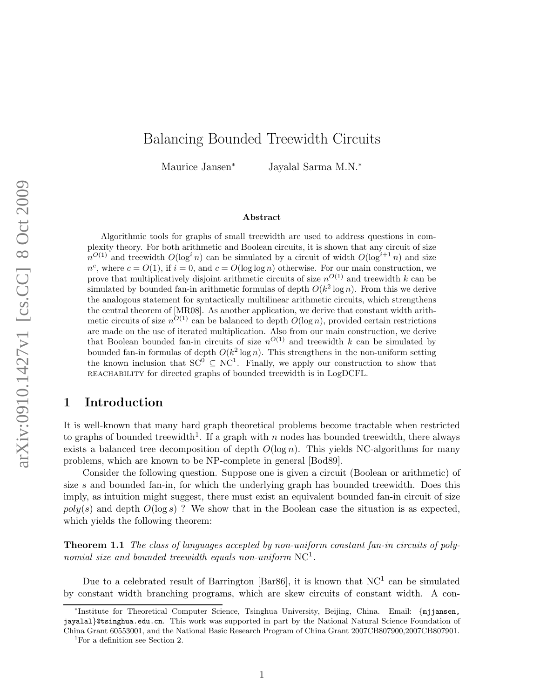# Balancing Bounded Treewidth Circuits

Maurice Jansen<sup>∗</sup> Jayalal Sarma M.N.<sup>∗</sup>

#### Abstract

Algorithmic tools for graphs of small treewidth are used to address questions in complexity theory. For both arithmetic and Boolean circuits, it is shown that any circuit of size  $n^{O(1)}$  and treewidth  $O(\log^i n)$  can be simulated by a circuit of width  $O(\log^{i+1} n)$  and size  $n^c$ , where  $c = O(1)$ , if  $i = 0$ , and  $c = O(\log \log n)$  otherwise. For our main construction, we prove that multiplicatively disjoint arithmetic circuits of size  $n^{O(1)}$  and treewidth k can be simulated by bounded fan-in arithmetic formulas of depth  $O(k^2 \log n)$ . From this we derive the analogous statement for syntactically multilinear arithmetic circuits, which strengthens the central theorem of [MR08]. As another application, we derive that constant width arithmetic circuits of size  $n^{O(1)}$  can be balanced to depth  $O(\log n)$ , provided certain restrictions are made on the use of iterated multiplication. Also from our main construction, we derive that Boolean bounded fan-in circuits of size  $n^{O(1)}$  and treewidth k can be simulated by bounded fan-in formulas of depth  $O(k^2 \log n)$ . This strengthens in the non-uniform setting the known inclusion that  $SC^0 \subseteq NC^1$ . Finally, we apply our construction to show that reachability for directed graphs of bounded treewidth is in LogDCFL.

#### 1 Introduction

It is well-known that many hard graph theoretical problems become tractable when restricted to graphs of bounded treewidth<sup>1</sup>. If a graph with n nodes has bounded treewidth, there always exists a balanced tree decomposition of depth  $O(\log n)$ . This yields NC-algorithms for many problems, which are known to be NP-complete in general [Bod89].

Consider the following question. Suppose one is given a circuit (Boolean or arithmetic) of size  $s$  and bounded fan-in, for which the underlying graph has bounded treewidth. Does this imply, as intuition might suggest, there must exist an equivalent bounded fan-in circuit of size  $poly(s)$  and depth  $O(\log s)$ ? We show that in the Boolean case the situation is as expected, which yields the following theorem:

Theorem 1.1 The class of languages accepted by non-uniform constant fan-in circuits of polynomial size and bounded treewidth equals non-uniform  $NC<sup>1</sup>$ .

Due to a celebrated result of Barrington [Bar86], it is known that  $NC<sup>1</sup>$  can be simulated by constant width branching programs, which are skew circuits of constant width. A con-

<sup>∗</sup> Institute for Theoretical Computer Science, Tsinghua University, Beijing, China. Email: {mjjansen, jayalal}@tsinghua.edu.cn. This work was supported in part by the National Natural Science Foundation of China Grant 60553001, and the National Basic Research Program of China Grant 2007CB807900,2007CB807901.

<sup>&</sup>lt;sup>1</sup>For a definition see Section 2.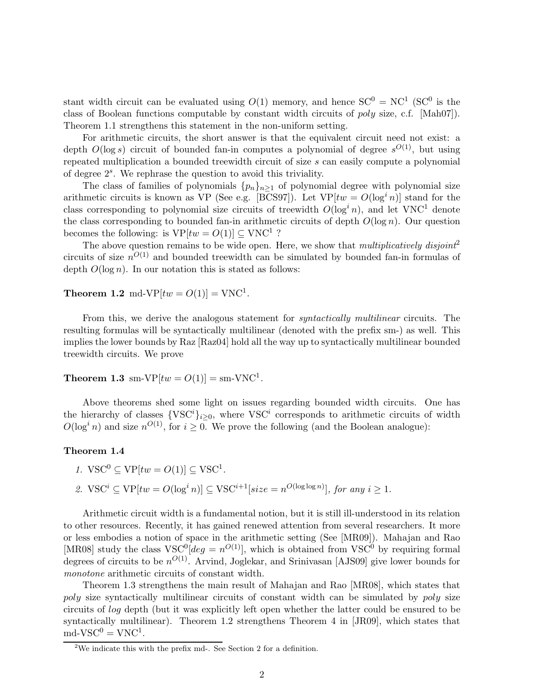stant width circuit can be evaluated using  $O(1)$  memory, and hence  $SC^0 = NC^1$  (SC<sup>0</sup> is the class of Boolean functions computable by constant width circuits of poly size, c.f. [Mah07]). Theorem 1.1 strengthens this statement in the non-uniform setting.

For arithmetic circuits, the short answer is that the equivalent circuit need not exist: a depth  $O(\log s)$  circuit of bounded fan-in computes a polynomial of degree  $s^{O(1)}$ , but using repeated multiplication a bounded treewidth circuit of size s can easily compute a polynomial of degree 2<sup>s</sup> . We rephrase the question to avoid this triviality.

The class of families of polynomials  $\{p_n\}_{n\geq 1}$  of polynomial degree with polynomial size arithmetic circuits is known as VP (See e.g. [BCS97]). Let  $VP[tw = O(\log^i n)]$  stand for the class corresponding to polynomial size circuits of treewidth  $O(\log^i n)$ , and let VNC<sup>1</sup> denote the class corresponding to bounded fan-in arithmetic circuits of depth  $O(\log n)$ . Our question becomes the following: is  $VP[tw = O(1)] \subseteq VNC^1$ ?

The above question remains to be wide open. Here, we show that multiplicatively disjoint<sup>2</sup> circuits of size  $n^{O(1)}$  and bounded treewidth can be simulated by bounded fan-in formulas of depth  $O(\log n)$ . In our notation this is stated as follows:

**Theorem 1.2** md-VP $[tw = O(1)] = \text{VNC}^1$ .

From this, we derive the analogous statement for *syntactically multilinear* circuits. The resulting formulas will be syntactically multilinear (denoted with the prefix sm-) as well. This implies the lower bounds by Raz [Raz04] hold all the way up to syntactically multilinear bounded treewidth circuits. We prove

**Theorem 1.3** sm-VP $[tw = O(1)] =$  sm-VNC<sup>1</sup>.

Above theorems shed some light on issues regarding bounded width circuits. One has the hierarchy of classes  $\{VSC^i\}_{i\geq 0}$ , where  $VSC^i$  corresponds to arithmetic circuits of width  $O(\log^i n)$  and size  $n^{O(1)}$ , for  $i \geq 0$ . We prove the following (and the Boolean analogue):

#### Theorem 1.4

1. 
$$
\text{VSC}^0 \subseteq \text{VP}[tw = O(1)] \subseteq \text{VSC}^1.
$$

2.  $\text{VSC}^i \subseteq \text{VP}[tw = O(\log^i n)] \subseteq \text{VSC}^{i+1}[size = n^{O(\log \log n)}],$  for any  $i \geq 1$ .

Arithmetic circuit width is a fundamental notion, but it is still ill-understood in its relation to other resources. Recently, it has gained renewed attention from several researchers. It more or less embodies a notion of space in the arithmetic setting (See [MR09]). Mahajan and Rao [MR08] study the class  $VSC^{0}[deg = n^{O(1)}]$ , which is obtained from  $VSC^{0}$  by requiring formal degrees of circuits to be  $n^{O(1)}$ . Arvind, Joglekar, and Srinivasan [AJS09] give lower bounds for monotone arithmetic circuits of constant width.

Theorem 1.3 strengthens the main result of Mahajan and Rao [MR08], which states that poly size syntactically multilinear circuits of constant width can be simulated by poly size circuits of log depth (but it was explicitly left open whether the latter could be ensured to be syntactically multilinear). Theorem 1.2 strengthens Theorem 4 in [JR09], which states that  $\text{md-}VSC^0 = \text{VNC}^1.$ 

<sup>&</sup>lt;sup>2</sup>We indicate this with the prefix md-. See Section 2 for a definition.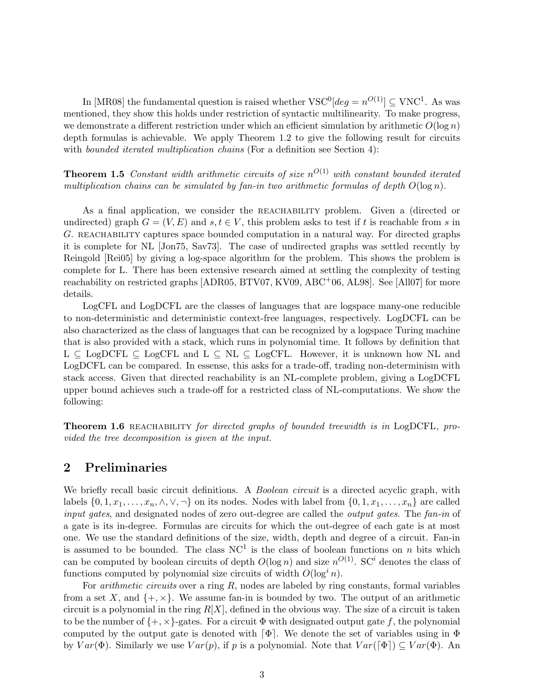In [MR08] the fundamental question is raised whether  $VSC^{0}[deg = n^{O(1)}] \subseteq VNC^{1}$ . As was mentioned, they show this holds under restriction of syntactic multilinearity. To make progress, we demonstrate a different restriction under which an efficient simulation by arithmetic  $O(\log n)$ depth formulas is achievable. We apply Theorem 1.2 to give the following result for circuits with *bounded iterated multiplication chains* (For a definition see Section 4):

**Theorem 1.5** Constant width arithmetic circuits of size  $n^{O(1)}$  with constant bounded iterated multiplication chains can be simulated by fan-in two arithmetic formulas of depth  $O(\log n)$ .

As a final application, we consider the REACHABILITY problem. Given a (directed or undirected) graph  $G = (V, E)$  and  $s, t \in V$ , this problem asks to test if t is reachable from s in G. REACHABILITY captures space bounded computation in a natural way. For directed graphs it is complete for NL [Jon75, Sav73]. The case of undirected graphs was settled recently by Reingold [Rei05] by giving a log-space algorithm for the problem. This shows the problem is complete for L. There has been extensive research aimed at settling the complexity of testing reachability on restricted graphs [ADR05, BTV07, KV09, ABC+06, AL98]. See [All07] for more details.

LogCFL and LogDCFL are the classes of languages that are logspace many-one reducible to non-deterministic and deterministic context-free languages, respectively. LogDCFL can be also characterized as the class of languages that can be recognized by a logspace Turing machine that is also provided with a stack, which runs in polynomial time. It follows by definition that  $L \subseteq LogDCFL \subseteq LogCFL$  and  $L \subseteq NL \subseteq LogCFL$ . However, it is unknown how NL and LogDCFL can be compared. In essense, this asks for a trade-off, trading non-determinism with stack access. Given that directed reachability is an NL-complete problem, giving a LogDCFL upper bound achieves such a trade-off for a restricted class of NL-computations. We show the following:

Theorem 1.6 REACHABILITY for directed graphs of bounded treewidth is in LogDCFL, provided the tree decomposition is given at the input.

### 2 Preliminaries

We briefly recall basic circuit definitions. A *Boolean circuit* is a directed acyclic graph, with labels  $\{0, 1, x_1, \ldots, x_n, \wedge, \vee, \neg\}$  on its nodes. Nodes with label from  $\{0, 1, x_1, \ldots, x_n\}$  are called input gates, and designated nodes of zero out-degree are called the *output gates*. The fan-in of a gate is its in-degree. Formulas are circuits for which the out-degree of each gate is at most one. We use the standard definitions of the size, width, depth and degree of a circuit. Fan-in is assumed to be bounded. The class  $NC<sup>1</sup>$  is the class of boolean functions on n bits which can be computed by boolean circuits of depth  $O(\log n)$  and size  $n^{O(1)}$ . SC<sup>i</sup> denotes the class of functions computed by polynomial size circuits of width  $O(\log^i n)$ .

For *arithmetic circuits* over a ring  $R$ , nodes are labeled by ring constants, formal variables from a set X, and  $\{+, \times\}$ . We assume fan-in is bounded by two. The output of an arithmetic circuit is a polynomial in the ring  $R[X]$ , defined in the obvious way. The size of a circuit is taken to be the number of  $\{+, \times\}$ -gates. For a circuit  $\Phi$  with designated output gate f, the polynomial computed by the output gate is denoted with  $[\Phi]$ . We denote the set of variables using in  $\Phi$ by  $Var(\Phi)$ . Similarly we use  $Var(p)$ , if p is a polynomial. Note that  $Var([\Phi]) \subseteq Var(\Phi)$ . An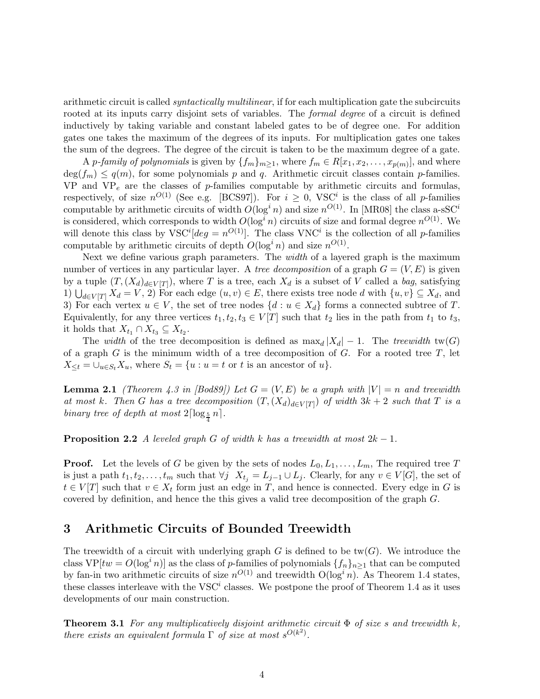arithmetic circuit is called *syntactically multilinear*, if for each multiplication gate the subcircuits rooted at its inputs carry disjoint sets of variables. The *formal degree* of a circuit is defined inductively by taking variable and constant labeled gates to be of degree one. For addition gates one takes the maximum of the degrees of its inputs. For multiplication gates one takes the sum of the degrees. The degree of the circuit is taken to be the maximum degree of a gate.

A *p*-family of polynomials is given by  $\{f_m\}_{m\geq 1}$ , where  $f_m \in R[x_1, x_2, \ldots, x_{p(m)}]$ , and where  $deg(f_m) \leq q(m)$ , for some polynomials p and q. Arithmetic circuit classes contain p-families. VP and  $VP_e$  are the classes of p-families computable by arithmetic circuits and formulas, respectively, of size  $n^{O(1)}$  (See e.g. [BCS97]). For  $i \geq 0$ , VSC<sup>i</sup> is the class of all p-families computable by arithmetic circuits of width  $O(\log^i n)$  and size  $n^{O(1)}$ . In [MR08] the class a-sSC<sup>*i*</sup> is considered, which corresponds to width  $O(\log^i n)$  circuits of size and formal degree  $n^{O(1)}$ . We will denote this class by  $VSC^{i}[deg = n^{O(1)}]$ . The class  $VNC^{i}$  is the collection of all p-families computable by arithmetic circuits of depth  $O(\log^i n)$  and size  $n^{O(1)}$ .

Next we define various graph parameters. The width of a layered graph is the maximum number of vertices in any particular layer. A tree decomposition of a graph  $G = (V, E)$  is given by a tuple  $(T, (X_d)_{d\in V[T]})$ , where T is a tree, each  $X_d$  is a subset of V called a bag, satisfying 1)  $\bigcup_{d\in V[T]} X_d = V$ , 2) For each edge  $(u, v) \in E$ , there exists tree node d with  $\{u, v\} \subseteq X_d$ , and 3) For each vertex  $u \in V$ , the set of tree nodes  $\{d : u \in X_d\}$  forms a connected subtree of T. Equivalently, for any three vertices  $t_1, t_2, t_3 \in V[T]$  such that  $t_2$  lies in the path from  $t_1$  to  $t_3$ , it holds that  $X_{t_1} \cap X_{t_3} \subseteq X_{t_2}$ .

The width of the tree decomposition is defined as  $\max_d |X_d| - 1$ . The treewidth tw(G) of a graph G is the minimum width of a tree decomposition of G. For a rooted tree  $T$ , let  $X_{\leq t} = \bigcup_{u \in S_t} X_u$ , where  $S_t = \{u : u = t \text{ or } t \text{ is an ancestor of } u\}.$ 

**Lemma 2.1** (Theorem 4.3 in [Bod89]) Let  $G = (V, E)$  be a graph with  $|V| = n$  and treewidth at most k. Then G has a tree decomposition  $(T, (X_d)_{d \in V[T]})$  of width  $3k + 2$  such that T is a binary tree of depth at most  $2\lceil \log_{\frac{5}{4}} n \rceil$ .

**Proposition 2.2** A leveled graph G of width k has a treewidth at most  $2k - 1$ .

**Proof.** Let the levels of G be given by the sets of nodes  $L_0, L_1, \ldots, L_m$ , The required tree T is just a path  $t_1, t_2, \ldots, t_m$  such that  $\forall j$   $X_{t_j} = L_{j-1} \cup L_j$ . Clearly, for any  $v \in V[G]$ , the set of  $t \in V[T]$  such that  $v \in X_t$  form just an edge in T, and hence is connected. Every edge in G is covered by definition, and hence the this gives a valid tree decomposition of the graph G.

## 3 Arithmetic Circuits of Bounded Treewidth

The treewidth of a circuit with underlying graph G is defined to be tw(G). We introduce the class  $VP[tw = O(\log^i n)]$  as the class of p-families of polynomials  $\{f_n\}_{n\geq 1}$  that can be computed by fan-in two arithmetic circuits of size  $n^{O(1)}$  and treewidth  $O(\log^i n)$ . As Theorem 1.4 states, these classes interleave with the  $VSC^i$  classes. We postpone the proof of Theorem 1.4 as it uses developments of our main construction.

**Theorem 3.1** For any multiplicatively disjoint arithmetic circuit  $\Phi$  of size s and treewidth k, there exists an equivalent formula  $\Gamma$  of size at most  $s^{O(k^2)}$ .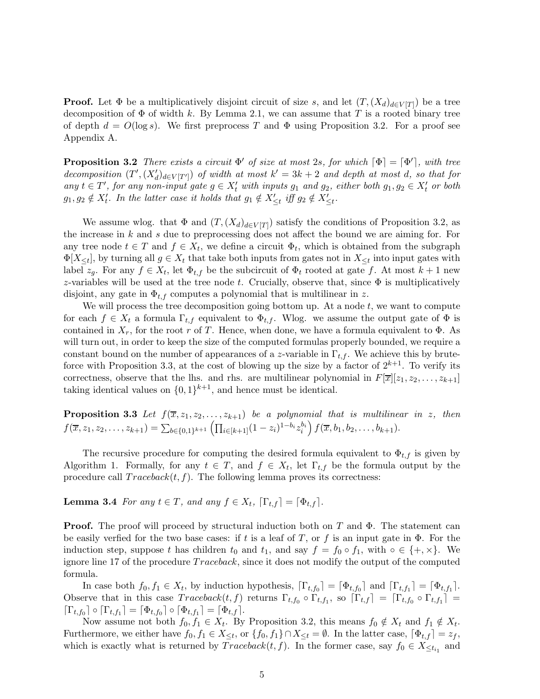**Proof.** Let  $\Phi$  be a multiplicatively disjoint circuit of size s, and let  $(T, (X_d)_{d \in V[T]})$  be a tree decomposition of  $\Phi$  of width k. By Lemma 2.1, we can assume that T is a rooted binary tree of depth  $d = O(\log s)$ . We first preprocess T and  $\Phi$  using Proposition 3.2. For a proof see Appendix A.

**Proposition 3.2** There exists a circuit  $\Phi'$  of size at most 2s, for which  $[\Phi] = [\Phi']$ , with tree decomposition  $(T', (X'_d)_{d\in V[T']})$  of width at most  $k' = 3k + 2$  and depth at most d, so that for any  $t \in T'$ , for any non-input gate  $g \in X'_t$  with inputs  $g_1$  and  $g_2$ , either both  $g_1, g_2 \in X'_t$  or both  $g_1, g_2 \notin X'_t$ . In the latter case it holds that  $g_1 \notin X'_{\leq t}$  iff  $g_2 \notin X'_{\leq t}$ .

We assume wlog. that  $\Phi$  and  $(T, (X_d)_{d \in V[T]})$  satisfy the conditions of Proposition 3.2, as the increase in  $k$  and  $s$  due to preprocessing does not affect the bound we are aiming for. For any tree node  $t \in T$  and  $f \in X_t$ , we define a circuit  $\Phi_t$ , which is obtained from the subgraph  $\Phi[X_{\leq t}]$ , by turning all  $g \in X_t$  that take both inputs from gates not in  $X_{\leq t}$  into input gates with label  $z_g$ . For any  $f \in X_t$ , let  $\Phi_{t,f}$  be the subcircuit of  $\Phi_t$  rooted at gate f. At most  $k+1$  new z-variables will be used at the tree node t. Crucially, observe that, since  $\Phi$  is multiplicatively disjoint, any gate in  $\Phi_{t,f}$  computes a polynomial that is multilinear in z.

We will process the tree decomposition going bottom up. At a node  $t$ , we want to compute for each  $f \in X_t$  a formula  $\Gamma_{t,f}$  equivalent to  $\Phi_{t,f}$ . Wlog. we assume the output gate of  $\Phi$  is contained in  $X_r$ , for the root r of T. Hence, when done, we have a formula equivalent to  $\Phi$ . As will turn out, in order to keep the size of the computed formulas properly bounded, we require a constant bound on the number of appearances of a z-variable in  $\Gamma_{t,f}$ . We achieve this by bruteforce with Proposition 3.3, at the cost of blowing up the size by a factor of  $2^{k+1}$ . To verify its correctness, observe that the lhs. and rhs. are multilinear polynomial in  $F[\overline{x}][z_1, z_2, \ldots, z_{k+1}]$ taking identical values on  $\{0,1\}^{k+1}$ , and hence must be identical.

**Proposition 3.3** Let  $f(\overline{x}, z_1, z_2, \ldots, z_{k+1})$  be a polynomial that is multilinear in z, then  $f(\overline{x}, z_1, z_2, \ldots, z_{k+1}) = \sum_{b \in \{0,1\}^{k+1}} \left( \prod_{i \in [k+1]} (1-z_i)^{1-b_i} z_i^{b_i} \right) f(\overline{x}, b_1, b_2, \ldots, b_{k+1}).$ 

The recursive procedure for computing the desired formula equivalent to  $\Phi_{t,f}$  is given by Algorithm 1. Formally, for any  $t \in T$ , and  $f \in X_t$ , let  $\Gamma_{t,f}$  be the formula output by the procedure call  $Traceback(t, f)$ . The following lemma proves its correctness:

**Lemma 3.4** For any  $t \in T$ , and any  $f \in X_t$ ,  $\lceil \Gamma_{t,f} \rceil = \lceil \Phi_{t,f} \rceil$ .

**Proof.** The proof will proceed by structural induction both on T and  $\Phi$ . The statement can be easily verfied for the two base cases: if t is a leaf of T, or f is an input gate in  $\Phi$ . For the induction step, suppose t has children  $t_0$  and  $t_1$ , and say  $f = f_0 \circ f_1$ , with  $\circ \in \{+, \times\}.$  We ignore line 17 of the procedure  $Traceback$ , since it does not modify the output of the computed formula.

In case both  $f_0, f_1 \in X_t$ , by induction hypothesis,  $[\Gamma_{t,f_0}] = [\Phi_{t,f_0}]$  and  $[\Gamma_{t,f_1}] = [\Phi_{t,f_1}]$ . Observe that in this case  $Traceback(t, f)$  returns  $\Gamma_{t,f_0} \circ \Gamma_{t,f_1}$ , so  $[\Gamma_{t,f}] = [\Gamma_{t,f_0} \circ \Gamma_{t,f_1}] =$  $\lceil \Gamma_{t,f_0} \rceil \circ \lceil \Gamma_{t,f_1} \rceil = \lceil \Phi_{t,f_0} \rceil \circ \lceil \Phi_{t,f_1} \rceil = \lceil \Phi_{t,f} \rceil.$ 

Now assume not both  $f_0, f_1 \in X_t$ . By Proposition 3.2, this means  $f_0 \notin X_t$  and  $f_1 \notin X_t$ . Furthermore, we either have  $f_0, f_1 \in X_{\leq t}$ , or  $\{f_0, f_1\} \cap X_{\leq t} = \emptyset$ . In the latter case,  $\lceil \Phi_{t,f} \rceil = z_f$ , which is exactly what is returned by  $Traceback(t, f)$ . In the former case, say  $f_0 \in X_{\leq t_{i_1}}$  and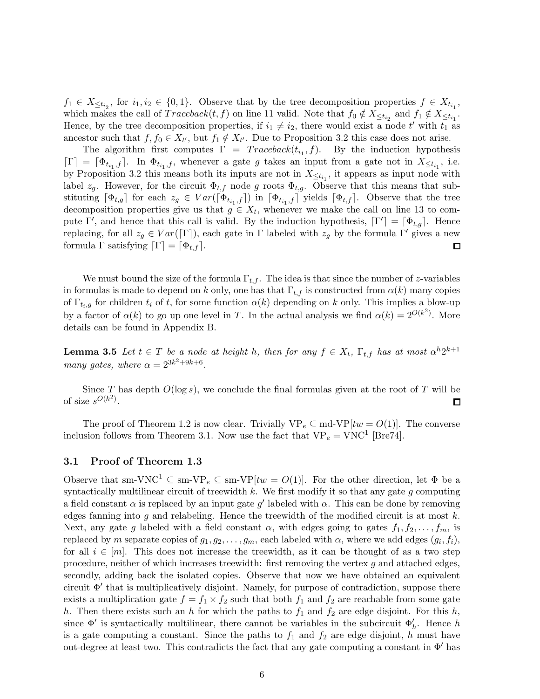$f_1 \in X_{\leq t_{i_2}}$ , for  $i_1, i_2 \in \{0, 1\}$ . Observe that by the tree decomposition properties  $f \in X_{t_{i_1}}$ , which makes the call of  $Traceback(t, f)$  on line 11 valid. Note that  $f_0 \notin X_{\leq t_{i_2}}$  and  $f_1 \notin X_{\leq t_{i_1}}$ . Hence, by the tree decomposition properties, if  $i_1 \neq i_2$ , there would exist a node t' with  $t_1$  as ancestor such that  $f, f_0 \in X_{t'}$ , but  $f_1 \notin X_{t'}$ . Due to Proposition 3.2 this case does not arise.

The algorithm first computes  $\Gamma = Traceback(t_{i_1}, f)$ . By the induction hypothesis  $\lceil \Gamma \rceil = \lceil \Phi_{t_{i_1},f} \rceil$ . In  $\Phi_{t_{i_1},f}$ , whenever a gate g takes an input from a gate not in  $X_{\leq t_{i_1}}$ , i.e. by Proposition 3.2 this means both its inputs are not in  $X_{\leq t_{i_1}}$ , it appears as input node with label  $z_g$ . However, for the circuit  $\Phi_{t,f}$  node g roots  $\Phi_{t,g}$ . Observe that this means that substituting  $[\Phi_{t,g}]$  for each  $z_g \in Var([\Phi_{t_{i_1},f}])$  in  $[\Phi_{t_{i_1},f}]$  yields  $[\Phi_{t,f}]$ . Observe that the tree decomposition properties give us that  $g \in X_t$ , whenever we make the call on line 13 to compute Γ', and hence that this call is valid. By the induction hypothesis,  $\lceil \Gamma' \rceil = \lceil \Phi_{t,g} \rceil$ . Hence replacing, for all  $z_g \in Var([\Gamma])$ , each gate in Γ labeled with  $z_g$  by the formula Γ' gives a new formula Γ satisfying  $[\Gamma] = [\Phi_{t,f}].$  $\Box$ 

We must bound the size of the formula  $\Gamma_{t,f}$ . The idea is that since the number of z-variables in formulas is made to depend on k only, one has that  $\Gamma_{t,f}$  is constructed from  $\alpha(k)$  many copies of  $\Gamma_{t_i,g}$  for children  $t_i$  of t, for some function  $\alpha(k)$  depending on k only. This implies a blow-up by a factor of  $\alpha(k)$  to go up one level in T. In the actual analysis we find  $\alpha(k) = 2^{O(k^2)}$ . More details can be found in Appendix B.

**Lemma 3.5** Let  $t \in T$  be a node at height h, then for any  $f \in X_t$ ,  $\Gamma_{t,f}$  has at most  $\alpha^{h}2^{k+1}$ many gates, where  $\alpha = 2^{3k^2+9k+6}$ .

Since T has depth  $O(\log s)$ , we conclude the final formulas given at the root of T will be of size  $s^{O(k^2)}$ . 囗

The proof of Theorem 1.2 is now clear. Trivially  $VP_e \subseteq md-VP[tw = O(1)]$ . The converse inclusion follows from Theorem 3.1. Now use the fact that  $VP_e = VNC^1$  [Bre74].

#### 3.1 Proof of Theorem 1.3

Observe that sm-VNC<sup>1</sup>  $\subseteq$  sm-VP<sub>e</sub>  $\subseteq$  sm-VP[tw = O(1)]. For the other direction, let  $\Phi$  be a syntactically multilinear circuit of treewidth  $k$ . We first modify it so that any gate  $g$  computing a field constant  $\alpha$  is replaced by an input gate g' labeled with  $\alpha$ . This can be done by removing edges fanning into g and relabeling. Hence the treewidth of the modified circuit is at most  $k$ . Next, any gate g labeled with a field constant  $\alpha$ , with edges going to gates  $f_1, f_2, \ldots, f_m$ , is replaced by m separate copies of  $g_1, g_2, \ldots, g_m$ , each labeled with  $\alpha$ , where we add edges  $(g_i, f_i)$ , for all  $i \in [m]$ . This does not increase the treewidth, as it can be thought of as a two step procedure, neither of which increases treewidth: first removing the vertex  $g$  and attached edges, secondly, adding back the isolated copies. Observe that now we have obtained an equivalent circuit Φ′ that is multiplicatively disjoint. Namely, for purpose of contradiction, suppose there exists a multiplication gate  $f = f_1 \times f_2$  such that both  $f_1$  and  $f_2$  are reachable from some gate h. Then there exists such an h for which the paths to  $f_1$  and  $f_2$  are edge disjoint. For this h, since  $\Phi'$  is syntactically multilinear, there cannot be variables in the subcircuit  $\Phi'_h$ . Hence h is a gate computing a constant. Since the paths to  $f_1$  and  $f_2$  are edge disjoint, h must have out-degree at least two. This contradicts the fact that any gate computing a constant in  $\Phi'$  has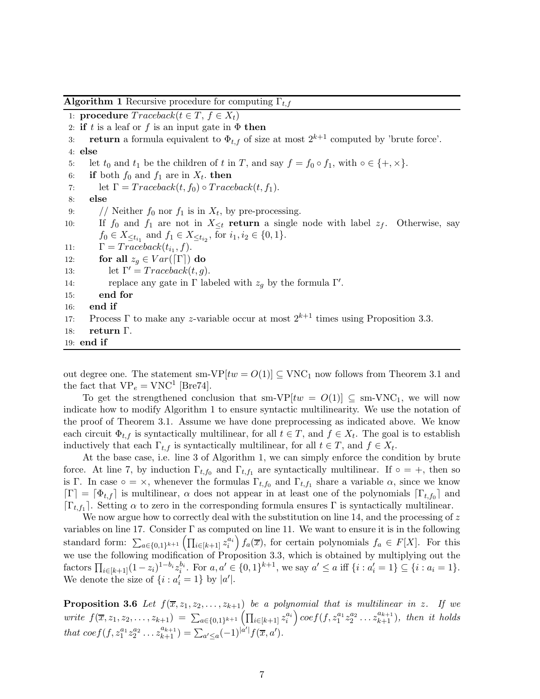1: **procedure**  $Traceback(t \in T, f \in X_t)$ 2: if t is a leaf or f is an input gate in  $\Phi$  then 3: **return** a formula equivalent to  $\Phi_{t,f}$  of size at most  $2^{k+1}$  computed by 'brute force'. 4: else 5: let  $t_0$  and  $t_1$  be the children of  $t$  in  $T$ , and say  $f = f_0 \circ f_1$ , with  $\circ \in \{+, \times\}.$ 6: if both  $f_0$  and  $f_1$  are in  $X_t$ . then 7: let  $\Gamma = Traceback(t, f_0) \circ Traceback(t, f_1)$ . 8: else 9: // Neither  $f_0$  nor  $f_1$  is in  $X_t$ , by pre-processing. 10: If  $f_0$  and  $f_1$  are not in  $X_{\leq t}$  return a single node with label  $z_f$ . Otherwise, say  $f_0 \in X_{\leq t_{i_1}}$  and  $f_1 \in X_{\leq t_{i_2}}$ , for  $i_1, i_2 \in \{0, 1\}$ . 11:  $\Gamma = Traceback(t_{i_1}, f).$ 12: for all  $z_q \in Var(\lceil \Gamma \rceil)$  do 13: let  $\Gamma' = Traceback(t, g)$ . 14: replace any gate in  $\Gamma$  labeled with  $z_g$  by the formula  $\Gamma'$ . 15: end for 16: end if 17: Process Γ to make any z-variable occur at most  $2^{k+1}$  times using Proposition 3.3. 18: return Γ. 19: end if

**Algorithm 1** Recursive procedure for computing  $\Gamma_{t,f}$ 

out degree one. The statement sm-VP[ $tw = O(1)$ ]  $\subseteq$  VNC<sub>1</sub> now follows from Theorem 3.1 and the fact that  $VP_e = VNC^1$  [Bre74].

To get the strengthened conclusion that sm-VP[ $tw = O(1)$ ]  $\subseteq$  sm-VNC<sub>1</sub>, we will now indicate how to modify Algorithm 1 to ensure syntactic multilinearity. We use the notation of the proof of Theorem 3.1. Assume we have done preprocessing as indicated above. We know each circuit  $\Phi_{t,f}$  is syntactically multilinear, for all  $t \in T$ , and  $f \in X_t$ . The goal is to establish inductively that each  $\Gamma_{t,f}$  is syntactically multilinear, for all  $t \in T$ , and  $f \in X_t$ .

At the base case, i.e. line 3 of Algorithm 1, we can simply enforce the condition by brute force. At line 7, by induction  $\Gamma_{t,f_0}$  and  $\Gamma_{t,f_1}$  are syntactically multilinear. If  $\circ = +$ , then so is Γ. In case  $\circ = \times$ , whenever the formulas  $\Gamma_{t,f_0}$  and  $\Gamma_{t,f_1}$  share a variable  $\alpha$ , since we know  $[\Gamma] = [\Phi_{t,f}]$  is multilinear,  $\alpha$  does not appear in at least one of the polynomials  $[\Gamma_{t,f_0}]$  and  $[\Gamma_{t,f_1}]$ . Setting  $\alpha$  to zero in the corresponding formula ensures  $\Gamma$  is syntactically multilinear.

We now argue how to correctly deal with the substitution on line 14, and the processing of  $z$ variables on line 17. Consider  $\Gamma$  as computed on line 11. We want to ensure it is in the following standard form:  $\sum_{a\in\{0,1\}^{k+1}}\left(\prod_{i\in[k+1]}z_i^{a_i}\right)f_a(\overline{x})$ , for certain polynomials  $f_a \in F[X]$ . For this we use the following modification of Proposition 3.3, which is obtained by multiplying out the factors  $\prod_{i\in[k+1]}(1-z_i)^{1-b_i}z_i^{b_i}$ . For  $a, a'\in\{0, 1\}^{k+1}$ , we say  $a'\leq a$  iff  $\{i : a'_i = 1\} \subseteq \{i : a_i = 1\}$ . We denote the size of  $\{i : a'_i = 1\}$  by  $|a'|$ .

**Proposition 3.6** Let  $f(\overline{x}, z_1, z_2, \ldots, z_{k+1})$  be a polynomial that is multilinear in z. If we write  $f(\overline{x}, z_1, z_2, \ldots, z_{k+1}) = \sum_{a \in \{0,1\}^{k+1}} \left( \prod_{i \in [k+1]} z_i^{a_i} \right) \cos f(f, z_1^{a_1} z_2^{a_2} \ldots z_{k+1}^{a_{k+1}}),$  then it holds that  $\mathrm{coef}(f, z_1^{a_1} z_2^{a_2} \dots z_{k+1}^{a_{k+1}}) = \sum_{a' \leq a} (-1)^{|\hat{a'}|} f(\overline{x}, a').$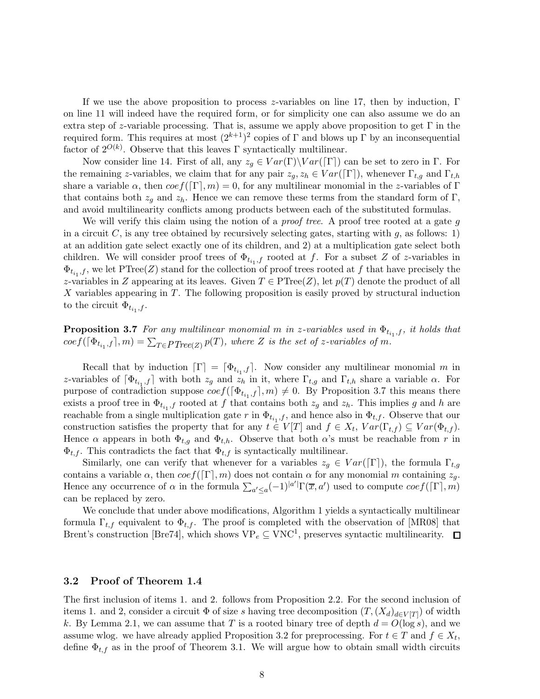If we use the above proposition to process z-variables on line 17, then by induction,  $\Gamma$ on line 11 will indeed have the required form, or for simplicity one can also assume we do an extra step of z-variable processing. That is, assume we apply above proposition to get  $\Gamma$  in the required form. This requires at most  $(2^{k+1})^2$  copies of Γ and blows up Γ by an inconsequential factor of  $2^{O(k)}$ . Observe that this leaves  $\Gamma$  syntactically multilinear.

Now consider line 14. First of all, any  $z_g \in Var(\Gamma) \setminus Var([\Gamma])$  can be set to zero in  $\Gamma$ . For the remaining z-variables, we claim that for any pair  $z_g, z_h \in Var([\Gamma])$ , whenever  $\Gamma_{t,g}$  and  $\Gamma_{t,h}$ share a variable  $\alpha$ , then  $\cos f(\Gamma, m) = 0$ , for any multilinear monomial in the z-variables of  $\Gamma$ that contains both  $z_q$  and  $z_h$ . Hence we can remove these terms from the standard form of Γ, and avoid multilinearity conflicts among products between each of the substituted formulas.

We will verify this claim using the notion of a *proof tree*. A proof tree rooted at a gate g in a circuit C, is any tree obtained by recursively selecting gates, starting with  $q$ , as follows: 1) at an addition gate select exactly one of its children, and 2) at a multiplication gate select both children. We will consider proof trees of  $\Phi_{t_{i_1},f}$  rooted at f. For a subset Z of z-variables in  $\Phi_{t_{i_1},f}$ , we let PTree(Z) stand for the collection of proof trees rooted at f that have precisely the z-variables in Z appearing at its leaves. Given  $T \in \mathrm{PTree}(Z)$ , let  $p(T)$  denote the product of all X variables appearing in T. The following proposition is easily proved by structural induction to the circuit  $\Phi_{t_{i_1},f}$ .

**Proposition 3.7** For any multilinear monomial m in z-variables used in  $\Phi_{t_{i_1},f}$ , it holds that  $coeff(\lceil \Phi_{t_{i_1},f} \rceil,m)=\sum_{T \in PTree(Z)} p(T),$  where Z is the set of z-variables of m.

Recall that by induction  $[\Gamma] = [\Phi_{t_{i_1},f}]$ . Now consider any multilinear monomial m in z-variables of  $[\Phi_{t_{i_1},f}]$  with both  $z_g$  and  $z_h$  in it, where  $\Gamma_{t,g}$  and  $\Gamma_{t,h}$  share a variable  $\alpha$ . For purpose of contradiction suppose  $\cos f([\Phi_{t_{i_1},f}], m) \neq 0$ . By Proposition 3.7 this means there exists a proof tree in  $\Phi_{t_{i_1},f}$  rooted at f that contains both  $z_g$  and  $z_h$ . This implies g and h are reachable from a single multiplication gate r in  $\Phi_{t_{i_1},f}$ , and hence also in  $\Phi_{t,f}$ . Observe that our construction satisfies the property that for any  $t \in V[T]$  and  $f \in X_t$ ,  $Var(\Gamma_{t,f}) \subseteq Var(\Phi_{t,f})$ . Hence  $\alpha$  appears in both  $\Phi_{t,q}$  and  $\Phi_{t,h}$ . Observe that both  $\alpha$ 's must be reachable from r in  $\Phi_{t,f}$ . This contradicts the fact that  $\Phi_{t,f}$  is syntactically multilinear.

Similarly, one can verify that whenever for a variables  $z_q \in Var([\Gamma])$ , the formula  $\Gamma_{t,q}$ contains a variable  $\alpha$ , then  $\cos f(\lceil \Gamma \rceil, m)$  does not contain  $\alpha$  for any monomial m containing  $z_g$ . Hence any occurrence of  $\alpha$  in the formula  $\sum_{a'\leq a}(-1)^{|a'|}\Gamma(\overline{x},a')$  used to compute  $\cos f([\Gamma],m)$ can be replaced by zero.

We conclude that under above modifications, Algorithm 1 yields a syntactically multilinear formula  $\Gamma_{t,f}$  equivalent to  $\Phi_{t,f}$ . The proof is completed with the observation of [MR08] that Brent's construction [Bre74], which shows  $VP_e \subseteq VNC^1$ , preserves syntactic multilinearity.

#### 3.2 Proof of Theorem 1.4

The first inclusion of items 1. and 2. follows from Proposition 2.2. For the second inclusion of items 1. and 2, consider a circuit  $\Phi$  of size s having tree decomposition  $(T, (X_d)_{d \in V[T]})$  of width k. By Lemma 2.1, we can assume that T is a rooted binary tree of depth  $d = O(\log s)$ , and we assume wlog. we have already applied Proposition 3.2 for preprocessing. For  $t \in T$  and  $f \in X_t$ , define  $\Phi_{t,f}$  as in the proof of Theorem 3.1. We will argue how to obtain small width circuits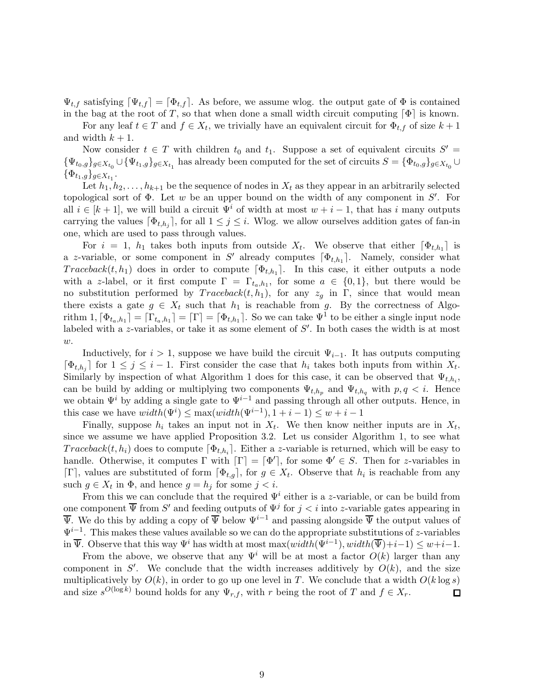$\Psi_{t,f}$  satisfying  $[\Psi_{t,f}] = [\Phi_{t,f}]$ . As before, we assume wlog. the output gate of  $\Phi$  is contained in the bag at the root of T, so that when done a small width circuit computing  $[\Phi]$  is known.

For any leaf  $t \in T$  and  $f \in X_t$ , we trivially have an equivalent circuit for  $\Phi_{t,f}$  of size  $k+1$ and width  $k + 1$ .

Now consider  $t \in T$  with children  $t_0$  and  $t_1$ . Suppose a set of equivalent circuits  $S' =$  $\{\Psi_{t_0,g}\}_{g\in X_{t_0}}\cup \{\Psi_{t_1,g}\}_{g\in X_{t_1}}$  has already been computed for the set of circuits  $S=\{\Phi_{t_0,g}\}_{g\in X_{t_0}}\cup$  $\{\Phi_{t_1,g}\}_{g\in X_{t_1}}.$ 

Let  $h_1, h_2, \ldots, h_{k+1}$  be the sequence of nodes in  $X_t$  as they appear in an arbitrarily selected topological sort of  $\Phi$ . Let w be an upper bound on the width of any component in  $S'$ . For all  $i \in [k+1]$ , we will build a circuit  $\Psi^i$  of width at most  $w + i - 1$ , that has i many outputs carrying the values  $[\Phi_{t,h_j}]$ , for all  $1 \leq j \leq i$ . Wlog. we allow ourselves addition gates of fan-in one, which are used to pass through values.

For  $i = 1$ ,  $h_1$  takes both inputs from outside  $X_t$ . We observe that either  $[\Phi_{t,h_1}]$  is a z-variable, or some component in S' already computes  $[\Phi_{t,h_1}]$ . Namely, consider what  $Traceback(t, h_1)$  does in order to compute  $[\Phi_{t, h_1}]$ . In this case, it either outputs a node with a z-label, or it first compute  $\Gamma = \Gamma_{t_a, h_1}$ , for some  $a \in \{0, 1\}$ , but there would be no substitution performed by  $Traceback(t, h_1)$ , for any  $z_g$  in Γ, since that would mean there exists a gate  $g \in X_t$  such that  $h_1$  is reachable from g. By the correctness of Algorithm  $1, [\Phi_{t_a,h_1}] = [\Gamma] = [\Phi_{t,h_1}]$ . So we can take  $\Psi^1$  to be either a single input node labeled with a z-variables, or take it as some element of  $S'$ . In both cases the width is at most  $w$ .

Inductively, for  $i > 1$ , suppose we have build the circuit  $\Psi_{i-1}$ . It has outputs computing  $[\Phi_{t,h_j}]$  for  $1 \leq j \leq i-1$ . First consider the case that  $h_i$  takes both inputs from within  $X_t$ . Similarly by inspection of what Algorithm 1 does for this case, it can be observed that  $\Psi_{t,h_i}$ , can be build by adding or multiplying two components  $\Psi_{t,h_p}$  and  $\Psi_{t,h_q}$  with  $p,q \leq i$ . Hence we obtain  $\Psi^i$  by adding a single gate to  $\Psi^{i-1}$  and passing through all other outputs. Hence, in this case we have  $width(\Psi^i) \leq max(width(\Psi^{i-1}), 1+i-1) \leq w+i-1$ 

Finally, suppose  $h_i$  takes an input not in  $X_t$ . We then know neither inputs are in  $X_t$ , since we assume we have applied Proposition 3.2. Let us consider Algorithm 1, to see what  $Traceback(t, h_i)$  does to compute  $[\Phi_{t, h_i}]$ . Either a *z*-variable is returned, which will be easy to handle. Otherwise, it computes  $\Gamma$  with  $[\Gamma] = [\Phi']$ , for some  $\Phi' \in S$ . Then for z-variables in  $[\Gamma]$ , values are substituted of form  $[\Phi_{t,g}]$ , for  $g \in X_t$ . Observe that  $h_i$  is reachable from any such  $g \in X_t$  in  $\Phi$ , and hence  $g = h_j$  for some  $j < i$ .

From this we can conclude that the required  $\Psi^i$  either is a *z*-variable, or can be build from one component  $\overline{\Psi}$  from S' and feeding outputs of  $\Psi^j$  for  $j < i$  into z-variable gates appearing in  $\overline{\Psi}$ . We do this by adding a copy of  $\overline{\Psi}$  below  $\Psi^{i-1}$  and passing alongside  $\overline{\Psi}$  the output values of  $\Psi^{i-1}$ . This makes these values available so we can do the appropriate substitutions of z-variables in  $\overline{\Psi}$ . Observe that this way  $\Psi^i$  has width at most max $(width(\Psi^{i-1}), width(\overline{\Psi})+i-1) \leq w+i-1$ .

From the above, we observe that any  $\Psi^i$  will be at most a factor  $O(k)$  larger than any component in  $S'$ . We conclude that the width increases additively by  $O(k)$ , and the size multiplicatively by  $O(k)$ , in order to go up one level in T. We conclude that a width  $O(k \log s)$ and size  $s^{O(\log k)}$  bound holds for any  $\Psi_{r,f}$ , with r being the root of T and  $f \in X_r$ .  $\Box$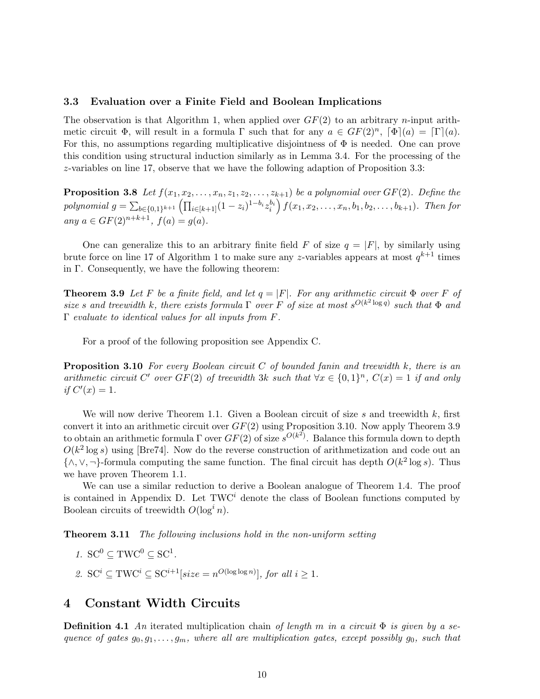#### 3.3 Evaluation over a Finite Field and Boolean Implications

The observation is that Algorithm 1, when applied over  $GF(2)$  to an arbitrary *n*-input arithmetic circuit  $\Phi$ , will result in a formula  $\Gamma$  such that for any  $a \in GF(2)^n$ ,  $[\Phi](a) = [\Gamma](a)$ . For this, no assumptions regarding multiplicative disjointness of  $\Phi$  is needed. One can prove this condition using structural induction similarly as in Lemma 3.4. For the processing of the z-variables on line 17, observe that we have the following adaption of Proposition 3.3:

**Proposition 3.8** Let  $f(x_1, x_2, \ldots, x_n, z_1, z_2, \ldots, z_{k+1})$  be a polynomial over  $GF(2)$ . Define the polynomial  $g = \sum_{b \in \{0,1\}^{k+1}} \left( \prod_{i \in [k+1]} (1 - z_i)^{1 - b_i} z_i^{b_i} \right) f(x_1, x_2, \dots, x_n, b_1, b_2, \dots, b_{k+1}).$  Then for any  $a \in GF(2)^{n+k+1}$ ,  $f(a) = g(a)$ .

One can generalize this to an arbitrary finite field F of size  $q = |F|$ , by similarly using brute force on line 17 of Algorithm 1 to make sure any z-variables appears at most  $q^{k+1}$  times in Γ. Consequently, we have the following theorem:

**Theorem 3.9** Let F be a finite field, and let  $q = |F|$ . For any arithmetic circuit  $\Phi$  over F of size s and treewidth k, there exists formula  $\Gamma$  over F of size at most  $s^{O(k^2 \log q)}$  such that  $\Phi$  and Γ evaluate to identical values for all inputs from F.

For a proof of the following proposition see Appendix C.

**Proposition 3.10** For every Boolean circuit C of bounded fanin and treewidth  $k$ , there is an arithmetic circuit C' over  $GF(2)$  of treewidth 3k such that  $\forall x \in \{0,1\}^n$ ,  $C(x) = 1$  if and only if  $C'(x) = 1$ .

We will now derive Theorem 1.1. Given a Boolean circuit of size s and treewidth  $k$ , first convert it into an arithmetic circuit over  $GF(2)$  using Proposition 3.10. Now apply Theorem 3.9 to obtain an arithmetic formula  $\Gamma$  over  $GF(2)$  of size  $s^{O(k^2)}$ . Balance this formula down to depth  $O(k^2 \log s)$  using [Bre74]. Now do the reverse construction of arithmetization and code out an {∧, ∨, ¬}-formula computing the same function. The final circuit has depth  $O(k^2 \log s)$ . Thus we have proven Theorem 1.1.

We can use a similar reduction to derive a Boolean analogue of Theorem 1.4. The proof is contained in Appendix D. Let  $TWC<sup>i</sup>$  denote the class of Boolean functions computed by Boolean circuits of treewidth  $O(\log^i n)$ .

Theorem 3.11 The following inclusions hold in the non-uniform setting

- 1.  $SC^0 \subseteq TWC^0 \subseteq SC^1$ .
- 2.  $SC^i \subseteq \text{TWC}^i \subseteq SC^{i+1}[size = n^{O(\log \log n)}],$  for all  $i \geq 1$ .

### 4 Constant Width Circuits

**Definition 4.1** An iterated multiplication chain of length m in a circuit  $\Phi$  is given by a sequence of gates  $g_0, g_1, \ldots, g_m$ , where all are multiplication gates, except possibly  $g_0$ , such that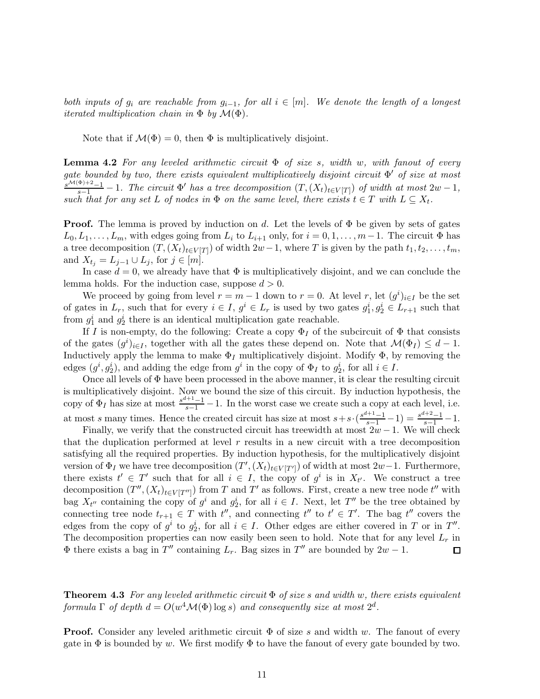both inputs of  $g_i$  are reachable from  $g_{i-1}$ , for all  $i \in [m]$ . We denote the length of a longest *iterated multiplication chain in*  $\Phi$  *by*  $\mathcal{M}(\Phi)$ .

Note that if  $\mathcal{M}(\Phi) = 0$ , then  $\Phi$  is multiplicatively disjoint.

**Lemma 4.2** For any leveled arithmetic circuit  $\Phi$  of size s, width w, with fanout of every gate bounded by two, there exists equivalent multiplicatively disjoint circuit  $\Phi'$  of size at most  $\frac{S^{\mathcal{M}(\Phi)+2}-1}{S-1}-1$ . The circuit  $\Phi'$  has a tree decomposition  $(T,(X_t)_{t\in V[T]})$  of width at most  $2w-1$ , such that for any set L of nodes in  $\Phi$  on the same level, there exists  $t \in T$  with  $L \subseteq X_t$ .

**Proof.** The lemma is proved by induction on d. Let the levels of  $\Phi$  be given by sets of gates  $L_0, L_1, \ldots, L_m$ , with edges going from  $L_i$  to  $L_{i+1}$  only, for  $i = 0, 1, \ldots, m-1$ . The circuit  $\Phi$  has a tree decomposition  $(T, (X_t)_{t\in V[T]})$  of width  $2w-1$ , where T is given by the path  $t_1, t_2, \ldots, t_m$ , and  $X_{t_j} = L_{j-1} \cup L_j$ , for  $j \in [m]$ .

In case  $d = 0$ , we already have that  $\Phi$  is multiplicatively disjoint, and we can conclude the lemma holds. For the induction case, suppose  $d > 0$ .

We proceed by going from level  $r = m - 1$  down to  $r = 0$ . At level r, let  $(g<sup>i</sup>)_{i \in I}$  be the set of gates in  $L_r$ , such that for every  $i \in I$ ,  $g^i \in L_r$  is used by two gates  $g_1^i, g_2^i \in L_{r+1}$  such that from  $g_1^i$  and  $g_2^i$  there is an identical multiplication gate reachable.

If I is non-empty, do the following: Create a copy  $\Phi_I$  of the subcircuit of  $\Phi$  that consists of the gates  $(g^{i})_{i\in I}$ , together with all the gates these depend on. Note that  $\mathcal{M}(\Phi_{I}) \leq d-1$ . Inductively apply the lemma to make  $\Phi_I$  multiplicatively disjoint. Modify  $\Phi$ , by removing the edges  $(g^i, g_2^i)$ , and adding the edge from  $g^i$  in the copy of  $\Phi_I$  to  $g_2^i$ , for all  $i \in I$ .

Once all levels of  $\Phi$  have been processed in the above manner, it is clear the resulting circuit is multiplicatively disjoint. Now we bound the size of this circuit. By induction hypothesis, the copy of  $\Phi_I$  has size at most  $\frac{s^{d+1}-1}{s-1}-1$ . In the worst case we create such a copy at each level, i.e. at most s many times. Hence the created circuit has size at most  $s+s \cdot (\frac{s^{d+1}-1}{s-1}-1) = \frac{s^{d+2}-1}{s-1}-1$ .

Finally, we verify that the constructed circuit has treewidth at most  $2w - 1$ . We will check that the duplication performed at level  $r$  results in a new circuit with a tree decomposition satisfying all the required properties. By induction hypothesis, for the multiplicatively disjoint version of  $\Phi_I$  we have tree decomposition  $(T', (X_t)_{t \in V[T']} )$  of width at most  $2w-1$ . Furthermore, there exists  $t' \in T'$  such that for all  $i \in I$ , the copy of  $g^i$  is in  $X_{t'}$ . We construct a tree decomposition  $(T'',(X_t)_{t\in V[T'']})$  from T and T' as follows. First, create a new tree node  $t''$  with bag  $X_{t''}$  containing the copy of  $g^i$  and  $g_2^i$ , for all  $i \in I$ . Next, let  $T''$  be the tree obtained by connecting tree node  $t_{r+1} \in T$  with  $t''$ , and connecting  $t''$  to  $t' \in T'$ . The bag  $t''$  covers the edges from the copy of  $g^i$  to  $g_2^i$ , for all  $i \in I$ . Other edges are either covered in T or in T''. The decomposition properties can now easily been seen to hold. Note that for any level  $L_r$  in  $\Phi$  there exists a bag in T'' containing  $L_r$ . Bag sizes in T'' are bounded by  $2w - 1$ . 囗

**Theorem 4.3** For any leveled arithmetic circuit  $\Phi$  of size s and width w, there exists equivalent formula  $\Gamma$  of depth  $d = O(w^4 \mathcal{M}(\Phi) \log s)$  and consequently size at most  $2^d$ .

**Proof.** Consider any leveled arithmetic circuit  $\Phi$  of size s and width w. The fanout of every gate in  $\Phi$  is bounded by w. We first modify  $\Phi$  to have the fanout of every gate bounded by two.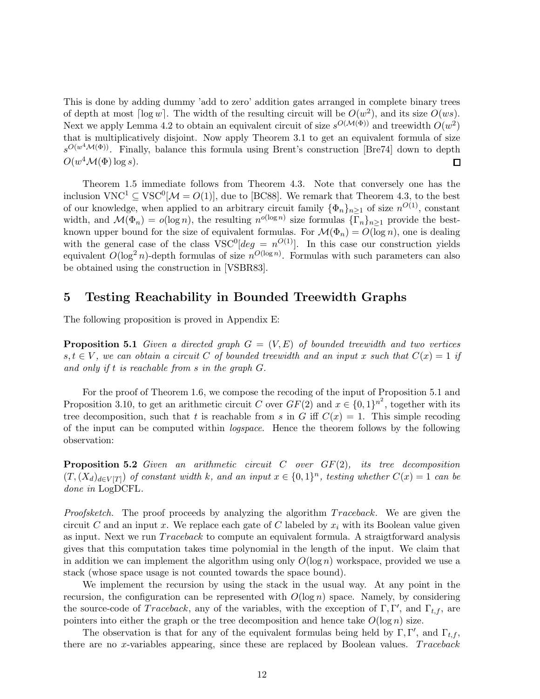This is done by adding dummy 'add to zero' addition gates arranged in complete binary trees of depth at most  $\lceil \log w \rceil$ . The width of the resulting circuit will be  $O(w^2)$ , and its size  $O(ws)$ . Next we apply Lemma 4.2 to obtain an equivalent circuit of size  $s^{O(M(\Phi))}$  and treewidth  $O(w^2)$ that is multiplicatively disjoint. Now apply Theorem 3.1 to get an equivalent formula of size  $s^{O(w^4\mathcal{M}(\Phi))}$ . Finally, balance this formula using Brent's construction [Bre74] down to depth  $O(w^4\mathcal{M}(\Phi)\log s).$ □

Theorem 1.5 immediate follows from Theorem 4.3. Note that conversely one has the inclusion  $VNC^1 \subseteq \text{VSC}^0[\mathcal{M} = O(1)],$  due to [BC88]. We remark that Theorem 4.3, to the best of our knowledge, when applied to an arbitrary circuit family  $\{\Phi_n\}_{n\geq 1}$  of size  $n^{O(1)}$ , constant width, and  $\mathcal{M}(\Phi_n) = o(\log n)$ , the resulting  $n^{o(\log n)}$  size formulas  $\{\Gamma_n\}_{n\geq 1}$  provide the bestknown upper bound for the size of equivalent formulas. For  $\mathcal{M}(\Phi_n) = O(\log n)$ , one is dealing with the general case of the class  $VSC^{0}[deg = n^{O(1)}]$ . In this case our construction yields equivalent  $O(\log^2 n)$ -depth formulas of size  $n^{O(\log n)}$ . Formulas with such parameters can also be obtained using the construction in [VSBR83].

### 5 Testing Reachability in Bounded Treewidth Graphs

The following proposition is proved in Appendix E:

**Proposition 5.1** Given a directed graph  $G = (V, E)$  of bounded treewidth and two vertices  $s, t \in V$ , we can obtain a circuit C of bounded treewidth and an input x such that  $C(x) = 1$  if and only if t is reachable from s in the graph G.

For the proof of Theorem 1.6, we compose the recoding of the input of Proposition 5.1 and Proposition 3.10, to get an arithmetic circuit C over  $GF(2)$  and  $x \in \{0,1\}^{n^2}$ , together with its tree decomposition, such that t is reachable from s in G iff  $C(x) = 1$ . This simple recoding of the input can be computed within logspace. Hence the theorem follows by the following observation:

**Proposition 5.2** Given an arithmetic circuit C over  $GF(2)$ , its tree decomposition  $(T, (X_d)_{d \in V[T]})$  of constant width k, and an input  $x \in \{0,1\}^n$ , testing whether  $C(x) = 1$  can be done in LogDCFL.

Proofsketch. The proof proceeds by analyzing the algorithm Traceback. We are given the circuit C and an input x. We replace each gate of C labeled by  $x_i$  with its Boolean value given as input. Next we run  $Traceback$  to compute an equivalent formula. A straigtforward analysis gives that this computation takes time polynomial in the length of the input. We claim that in addition we can implement the algorithm using only  $O(\log n)$  workspace, provided we use a stack (whose space usage is not counted towards the space bound).

We implement the recursion by using the stack in the usual way. At any point in the recursion, the configuration can be represented with  $O(\log n)$  space. Namely, by considering the source-code of  $Traceback$ , any of the variables, with the exception of  $\Gamma, \Gamma'$ , and  $\Gamma_{t,f}$ , are pointers into either the graph or the tree decomposition and hence take  $O(\log n)$  size.

The observation is that for any of the equivalent formulas being held by  $\Gamma, \Gamma'$ , and  $\Gamma_{t,f}$ , there are no x-variables appearing, since these are replaced by Boolean values.  $Traceback$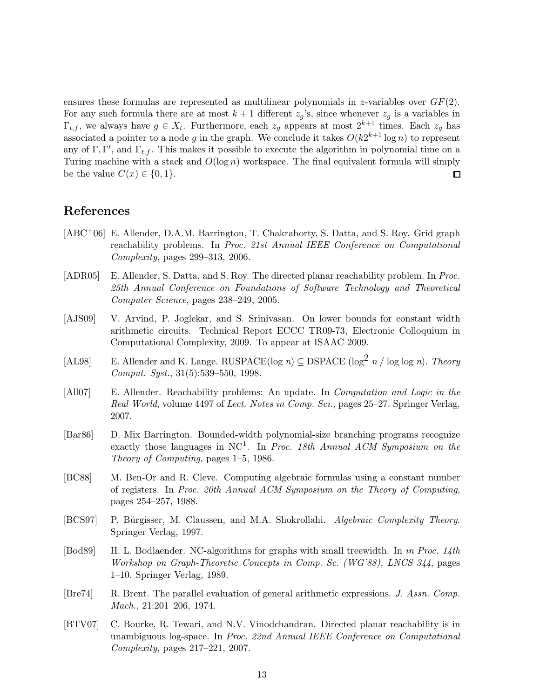ensures these formulas are represented as multilinear polynomials in z-variables over  $GF(2)$ . For any such formula there are at most  $k+1$  different  $z_g$ 's, since whenever  $z_g$  is a variables in  $\Gamma_{t,f}$ , we always have  $g \in X_t$ . Furthermore, each  $z_g$  appears at most  $2^{k+1}$  times. Each  $z_g$  has associated a pointer to a node g in the graph. We conclude it takes  $O(k2^{k+1}\log n)$  to represent any of  $\Gamma, \Gamma'$ , and  $\Gamma_{t,f}$ . This makes it possible to execute the algorithm in polynomial time on a Turing machine with a stack and  $O(\log n)$  workspace. The final equivalent formula will simply be the value  $C(x) \in \{0, 1\}.$  $\square$ 

### References

- [ABC+06] E. Allender, D.A.M. Barrington, T. Chakraborty, S. Datta, and S. Roy. Grid graph reachability problems. In Proc. 21st Annual IEEE Conference on Computational Complexity, pages 299–313, 2006.
- [ADR05] E. Allender, S. Datta, and S. Roy. The directed planar reachability problem. In Proc. 25th Annual Conference on Foundations of Software Technology and Theoretical Computer Science, pages 238–249, 2005.
- [AJS09] V. Arvind, P. Joglekar, and S. Srinivasan. On lower bounds for constant width arithmetic circuits. Technical Report ECCC TR09-73, Electronic Colloquium in Computational Complexity, 2009. To appear at ISAAC 2009.
- [AL98] E. Allender and K. Lange. RUSPACE(log n)  $\subseteq$  DSPACE (log<sup>2</sup> n / log log n). Theory Comput. Syst., 31(5):539–550, 1998.
- [All07] E. Allender. Reachability problems: An update. In *Computation and Logic in the* Real World, volume 4497 of Lect. Notes in Comp. Sci., pages 25–27. Springer Verlag, 2007.
- [Bar86] D. Mix Barrington. Bounded-width polynomial-size branching programs recognize exactly those languages in NC<sup>1</sup>. In Proc. 18th Annual ACM Symposium on the Theory of Computing, pages 1–5, 1986.
- [BC88] M. Ben-Or and R. Cleve. Computing algebraic formulas using a constant number of registers. In Proc. 20th Annual ACM Symposium on the Theory of Computing, pages 254–257, 1988.
- [BCS97] P. Bürgisser, M. Claussen, and M.A. Shokrollahi. Algebraic Complexity Theory. Springer Verlag, 1997.
- [Bod89] H. L. Bodlaender. NC-algorithms for graphs with small treewidth. In in Proc. 14th Workshop on Graph-Theoretic Concepts in Comp. Sc. (WG'88), LNCS 344, pages 1–10. Springer Verlag, 1989.
- [Bre74] R. Brent. The parallel evaluation of general arithmetic expressions. J. Assn. Comp. Mach., 21:201–206, 1974.
- [BTV07] C. Bourke, R. Tewari, and N.V. Vinodchandran. Directed planar reachability is in unambiguous log-space. In Proc. 22nd Annual IEEE Conference on Computational Complexity, pages 217–221, 2007.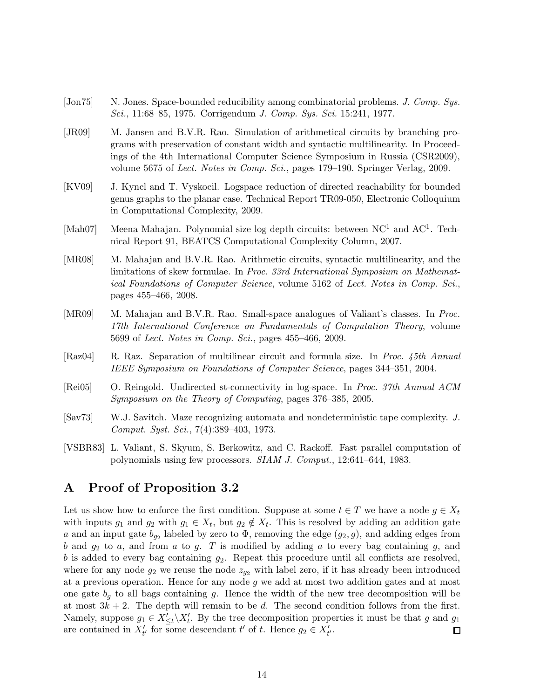- [Jon75] N. Jones. Space-bounded reducibility among combinatorial problems. J. Comp. Sys. Sci., 11:68–85, 1975. Corrigendum J. Comp. Sys. Sci. 15:241, 1977.
- [JR09] M. Jansen and B.V.R. Rao. Simulation of arithmetical circuits by branching programs with preservation of constant width and syntactic multilinearity. In Proceedings of the 4th International Computer Science Symposium in Russia (CSR2009), volume 5675 of Lect. Notes in Comp. Sci., pages 179–190. Springer Verlag, 2009.
- [KV09] J. Kyncl and T. Vyskocil. Logspace reduction of directed reachability for bounded genus graphs to the planar case. Technical Report TR09-050, Electronic Colloquium in Computational Complexity, 2009.
- [Mah07] Meena Mahajan. Polynomial size log depth circuits: between NC<sup>1</sup> and AC<sup>1</sup>. Technical Report 91, BEATCS Computational Complexity Column, 2007.
- [MR08] M. Mahajan and B.V.R. Rao. Arithmetic circuits, syntactic multilinearity, and the limitations of skew formulae. In Proc. 33rd International Symposium on Mathematical Foundations of Computer Science, volume 5162 of Lect. Notes in Comp. Sci., pages 455–466, 2008.
- [MR09] M. Mahajan and B.V.R. Rao. Small-space analogues of Valiant's classes. In Proc. 17th International Conference on Fundamentals of Computation Theory, volume 5699 of Lect. Notes in Comp. Sci., pages 455–466, 2009.
- [Raz04] R. Raz. Separation of multilinear circuit and formula size. In Proc. 45th Annual IEEE Symposium on Foundations of Computer Science, pages 344–351, 2004.
- [Rei05] O. Reingold. Undirected st-connectivity in log-space. In Proc. 37th Annual ACM Symposium on the Theory of Computing, pages 376–385, 2005.
- [Sav73] W.J. Savitch. Maze recognizing automata and nondeterministic tape complexity. J. Comput. Syst. Sci., 7(4):389–403, 1973.
- [VSBR83] L. Valiant, S. Skyum, S. Berkowitz, and C. Rackoff. Fast parallel computation of polynomials using few processors. SIAM J. Comput., 12:641–644, 1983.

### A Proof of Proposition 3.2

Let us show how to enforce the first condition. Suppose at some  $t \in T$  we have a node  $q \in X_t$ with inputs  $g_1$  and  $g_2$  with  $g_1 \in X_t$ , but  $g_2 \notin X_t$ . This is resolved by adding an addition gate a and an input gate  $b_{g_2}$  labeled by zero to  $\Phi$ , removing the edge  $(g_2, g)$ , and adding edges from b and  $g_2$  to a, and from a to g. T is modified by adding a to every bag containing g, and b is added to every bag containing  $g_2$ . Repeat this procedure until all conflicts are resolved, where for any node  $g_2$  we reuse the node  $z_{g_2}$  with label zero, if it has already been introduced at a previous operation. Hence for any node  $g$  we add at most two addition gates and at most one gate  $b<sub>q</sub>$  to all bags containing g. Hence the width of the new tree decomposition will be at most  $3k + 2$ . The depth will remain to be d. The second condition follows from the first. Namely, suppose  $g_1 \in X'_{\leq t} \backslash X'_{t}$ . By the tree decomposition properties it must be that g and  $g_1$ are contained in  $X'_{t'}$  for some descendant  $t'$  of  $t$ . Hence  $g_2 \in X'_{t'}$ .  $\square$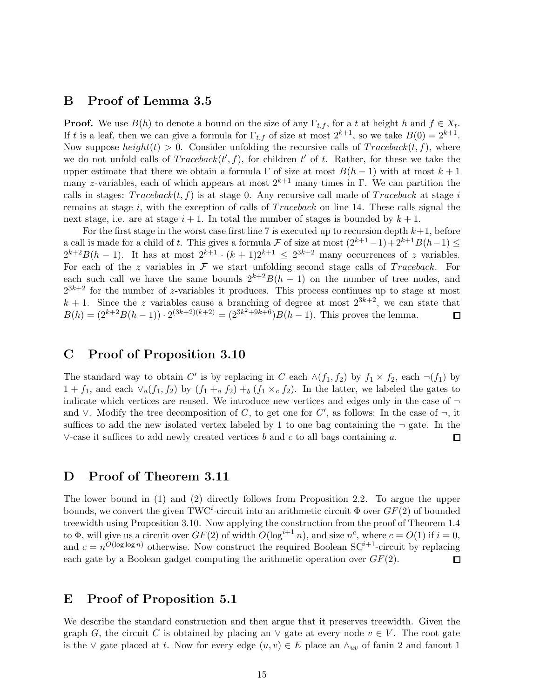### B Proof of Lemma 3.5

**Proof.** We use  $B(h)$  to denote a bound on the size of any  $\Gamma_{t,f}$ , for a t at height h and  $f \in X_t$ . If t is a leaf, then we can give a formula for  $\Gamma_{t,f}$  of size at most  $2^{k+1}$ , so we take  $B(0) = 2^{k+1}$ . Now suppose  $height(t) > 0$ . Consider unfolding the recursive calls of  $Traceback(t, f)$ , where we do not unfold calls of  $Traceback(t', f)$ , for children t' of t. Rather, for these we take the upper estimate that there we obtain a formula  $\Gamma$  of size at most  $B(h-1)$  with at most  $k+1$ many z-variables, each of which appears at most  $2^{k+1}$  many times in Γ. We can partition the calls in stages:  $Traceback(t, f)$  is at stage 0. Any recursive call made of  $Traceback$  at stage i remains at stage i, with the exception of calls of  $Traceback$  on line 14. These calls signal the next stage, i.e. are at stage  $i+1$ . In total the number of stages is bounded by  $k+1$ .

For the first stage in the worst case first line 7 is executed up to recursion depth  $k+1$ , before a call is made for a child of t. This gives a formula F of size at most  $(2^{k+1}-1)+2^{k+1}B(h-1)\leq$  $2^{k+2}B(h-1)$ . It has at most  $2^{k+1} \cdot (k+1)2^{k+1} \leq 2^{3k+2}$  many occurrences of z variables. For each of the z variables in  $\mathcal F$  we start unfolding second stage calls of Traceback. For each such call we have the same bounds  $2^{k+2}B(h-1)$  on the number of tree nodes, and  $2^{3k+2}$  for the number of z-variables it produces. This process continues up to stage at most  $k + 1$ . Since the z variables cause a branching of degree at most  $2^{3k+2}$ , we can state that  $B(h) = (2^{k+2}B(h-1)) \cdot 2^{(3k+2)(k+2)} = (2^{3k^2+9k+6})B(h-1)$ . This proves the lemma.  $\Box$ 

### C Proof of Proposition 3.10

The standard way to obtain C' is by replacing in C each  $\wedge (f_1, f_2)$  by  $f_1 \times f_2$ , each  $\neg (f_1)$  by  $1 + f_1$ , and each  $\vee_a(f_1, f_2)$  by  $(f_1 +_a f_2) +_b (f_1 \times_c f_2)$ . In the latter, we labeled the gates to indicate which vertices are reused. We introduce new vertices and edges only in the case of  $\neg$ and  $\vee$ . Modify the tree decomposition of C, to get one for C', as follows: In the case of  $\neg$ , it suffices to add the new isolated vertex labeled by 1 to one bag containing the  $\neg$  gate. In the  $\vee$ -case it suffices to add newly created vertices b and c to all bags containing a. 口

#### D Proof of Theorem 3.11

The lower bound in (1) and (2) directly follows from Proposition 2.2. To argue the upper bounds, we convert the given TWC<sup>*i*</sup>-circuit into an arithmetic circuit  $\Phi$  over  $GF(2)$  of bounded treewidth using Proposition 3.10. Now applying the construction from the proof of Theorem 1.4 to  $\Phi$ , will give us a circuit over  $GF(2)$  of width  $O(\log^{i+1} n)$ , and size  $n^c$ , where  $c = O(1)$  if  $i = 0$ , and  $c = n^{O(\log \log n)}$  otherwise. Now construct the required Boolean SC<sup>*i*+1</sup>-circuit by replacing each gate by a Boolean gadget computing the arithmetic operation over  $GF(2)$ .  $\Box$ 

### E Proof of Proposition 5.1

We describe the standard construction and then argue that it preserves treewidth. Given the graph G, the circuit C is obtained by placing an  $\vee$  gate at every node  $v \in V$ . The root gate is the  $\vee$  gate placed at t. Now for every edge  $(u, v) \in E$  place an  $\wedge_{uv}$  of fanin 2 and fanout 1